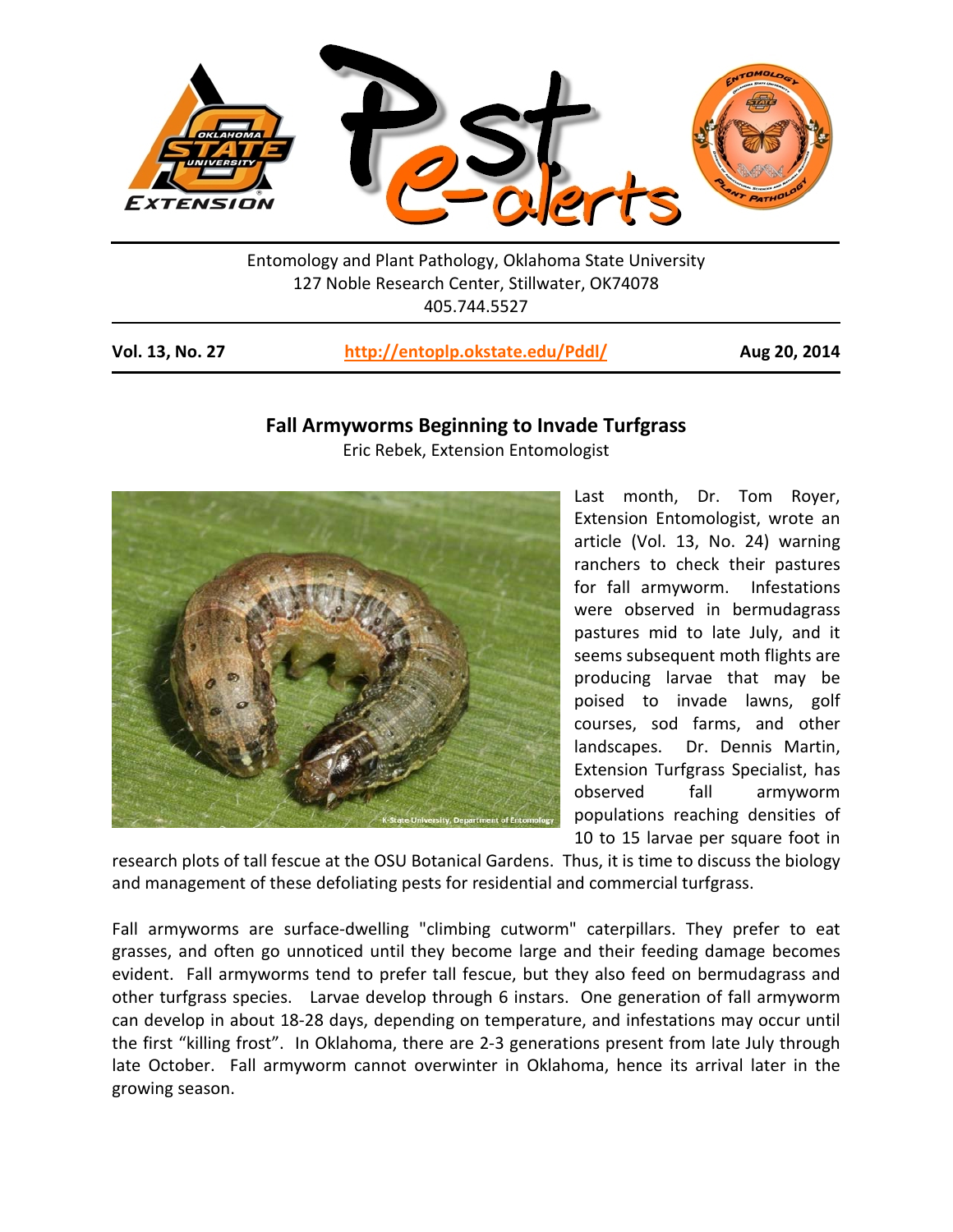

Entomology and Plant Pathology, Oklahoma State University 127 Noble Research Center, Stillwater, OK74078 405.744.5527

| Vol. 13, No. 27<br>http://entoplp.okstate.edu/Pddl/ |  |
|-----------------------------------------------------|--|
|-----------------------------------------------------|--|

## **Vol. 13, No. 27 <http://entoplp.okstate.edu/Pddl/> Aug 20, 2014**

## **Fall Armyworms Beginning to Invade Turfgrass**

Eric Rebek, Extension Entomologist



Last month, Dr. Tom Royer, Extension Entomologist, wrote an article (Vol. 13, No. 24) warning ranchers to check their pastures for fall armyworm. Infestations were observed in bermudagrass pastures mid to late July, and it seems subsequent moth flights are producing larvae that may be poised to invade lawns, golf courses, sod farms, and other landscapes. Dr. Dennis Martin, Extension Turfgrass Specialist, has observed fall armyworm populations reaching densities of 10 to 15 larvae per square foot in

research plots of tall fescue at the OSU Botanical Gardens. Thus, it is time to discuss the biology and management of these defoliating pests for residential and commercial turfgrass.

Fall armyworms are surface-dwelling "climbing cutworm" caterpillars. They prefer to eat grasses, and often go unnoticed until they become large and their feeding damage becomes evident. Fall armyworms tend to prefer tall fescue, but they also feed on bermudagrass and other turfgrass species. Larvae develop through 6 instars. One generation of fall armyworm can develop in about 18-28 days, depending on temperature, and infestations may occur until the first "killing frost". In Oklahoma, there are 2-3 generations present from late July through late October. Fall armyworm cannot overwinter in Oklahoma, hence its arrival later in the growing season.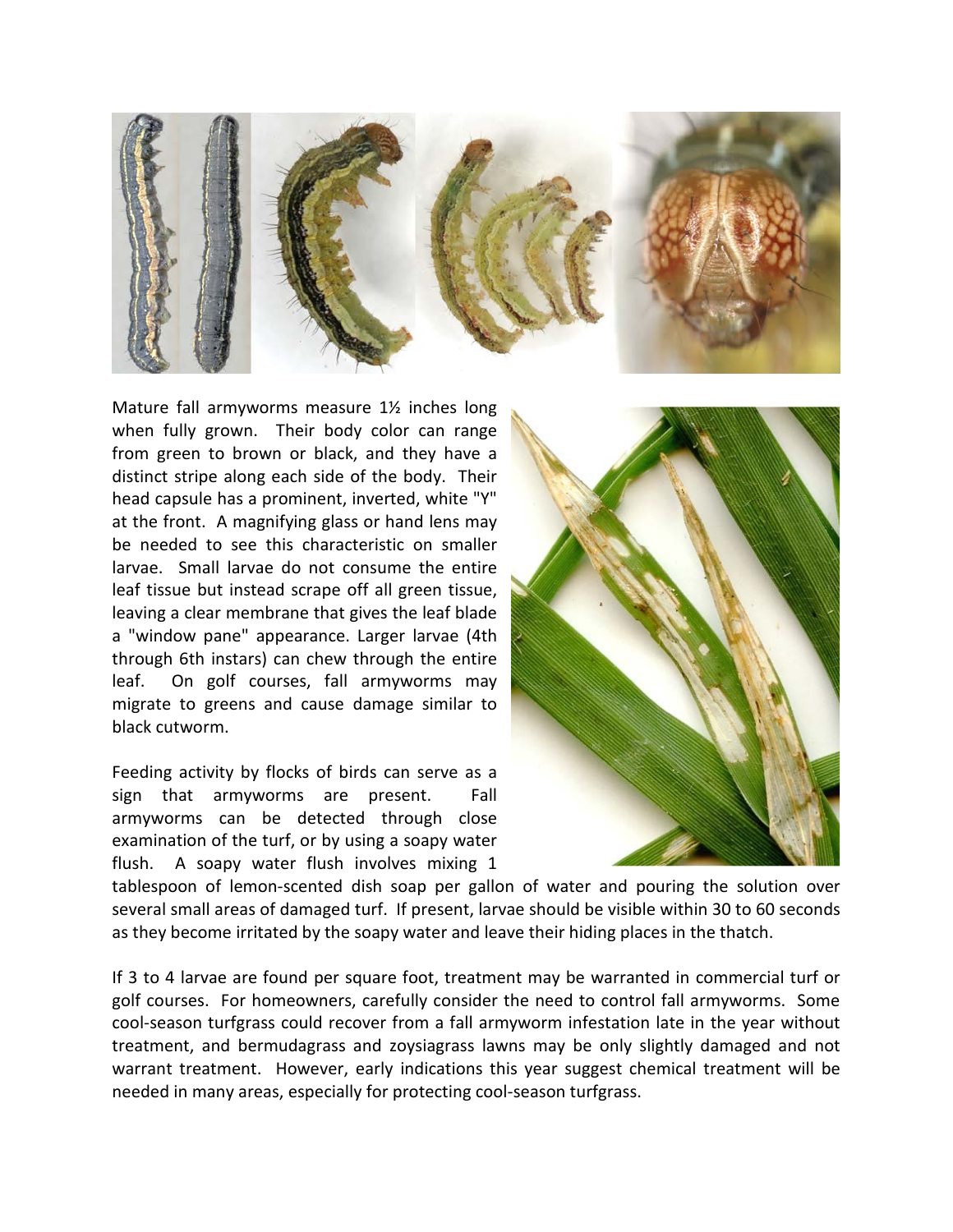

Mature fall armyworms measure 1½ inches long when fully grown. Their body color can range from green to brown or black, and they have a distinct stripe along each side of the body. Their head capsule has a prominent, inverted, white "Y" at the front. A magnifying glass or hand lens may be needed to see this characteristic on smaller larvae. Small larvae do not consume the entire leaf tissue but instead scrape off all green tissue, leaving a clear membrane that gives the leaf blade a "window pane" appearance. Larger larvae (4th through 6th instars) can chew through the entire leaf. On golf courses, fall armyworms may migrate to greens and cause damage similar to black cutworm.

Feeding activity by flocks of birds can serve as a sign that armyworms are present. Fall armyworms can be detected through close examination of the turf, or by using a soapy water flush. A soapy water flush involves mixing 1



tablespoon of lemon-scented dish soap per gallon of water and pouring the solution over several small areas of damaged turf. If present, larvae should be visible within 30 to 60 seconds as they become irritated by the soapy water and leave their hiding places in the thatch.

If 3 to 4 larvae are found per square foot, treatment may be warranted in commercial turf or golf courses. For homeowners, carefully consider the need to control fall armyworms. Some cool-season turfgrass could recover from a fall armyworm infestation late in the year without treatment, and bermudagrass and zoysiagrass lawns may be only slightly damaged and not warrant treatment. However, early indications this year suggest chemical treatment will be needed in many areas, especially for protecting cool-season turfgrass.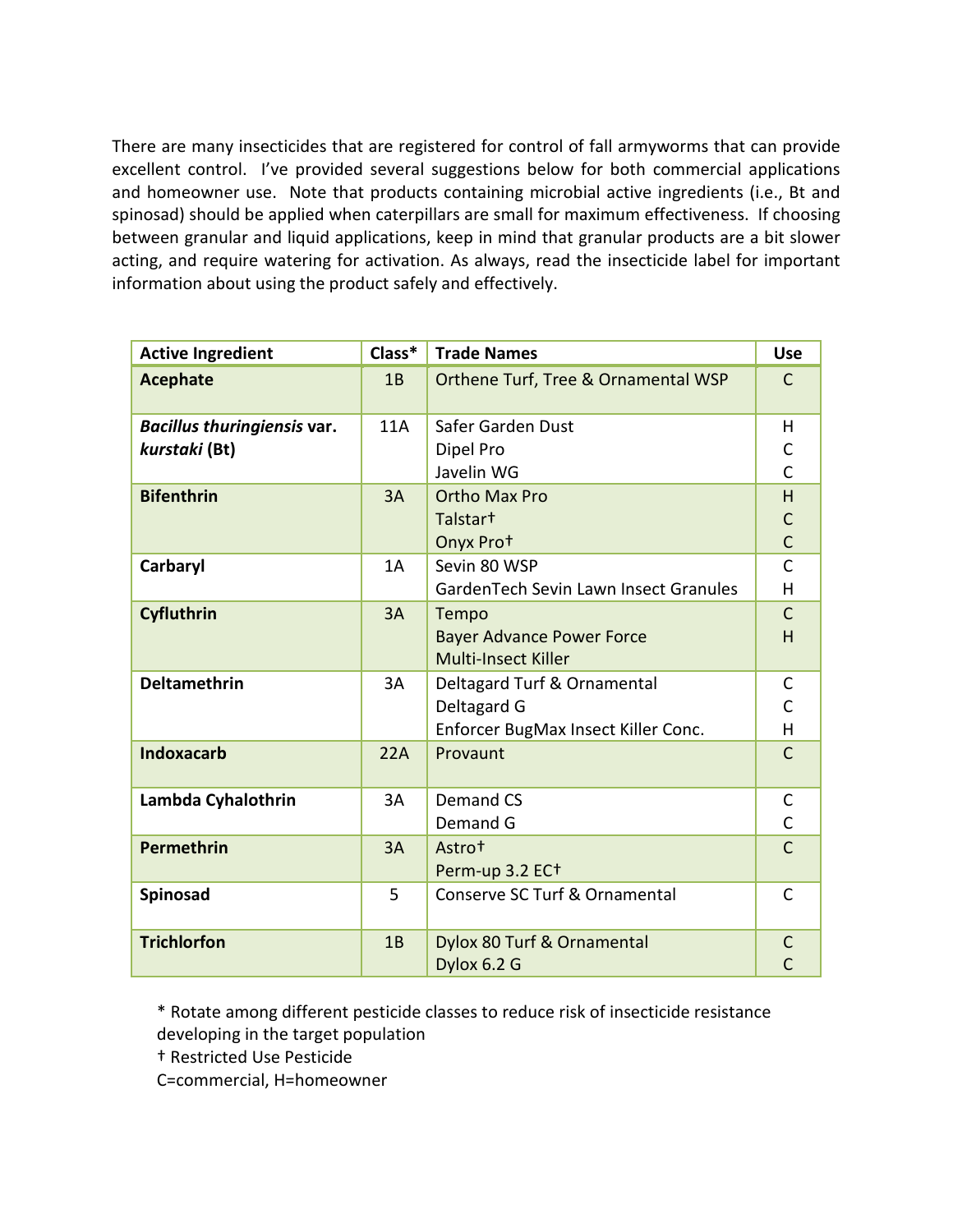There are many insecticides that are registered for control of fall armyworms that can provide excellent control. I've provided several suggestions below for both commercial applications and homeowner use. Note that products containing microbial active ingredients (i.e., Bt and spinosad) should be applied when caterpillars are small for maximum effectiveness. If choosing between granular and liquid applications, keep in mind that granular products are a bit slower acting, and require watering for activation. As always, read the insecticide label for important information about using the product safely and effectively.

| <b>Active Ingredient</b>    | Class* | <b>Trade Names</b>                    | <b>Use</b>     |
|-----------------------------|--------|---------------------------------------|----------------|
| <b>Acephate</b>             | 1B     | Orthene Turf, Tree & Ornamental WSP   | $\mathsf{C}$   |
| Bacillus thuringiensis var. | 11A    | Safer Garden Dust                     | H              |
| kurstaki (Bt)               |        | Dipel Pro                             | C              |
|                             |        | Javelin WG                            | $\overline{C}$ |
| <b>Bifenthrin</b>           | 3A     | <b>Ortho Max Pro</b>                  | H              |
|                             |        | Talstar <sup>+</sup>                  | $\mathsf{C}$   |
|                             |        | Onyx Prot                             | $\mathsf{C}$   |
| Carbaryl                    | 1A     | Sevin 80 WSP                          | $\mathsf{C}$   |
|                             |        | GardenTech Sevin Lawn Insect Granules | H              |
| Cyfluthrin                  | 3A     | Tempo                                 | $\mathsf{C}$   |
|                             |        | <b>Bayer Advance Power Force</b>      | H              |
|                             |        | <b>Multi-Insect Killer</b>            |                |
| <b>Deltamethrin</b>         | 3A     | Deltagard Turf & Ornamental           | $\mathsf C$    |
|                             |        | Deltagard G                           | $\overline{C}$ |
|                             |        | Enforcer BugMax Insect Killer Conc.   | H              |
| <b>Indoxacarb</b>           | 22A    | Provaunt                              | $\mathsf{C}$   |
|                             |        |                                       |                |
| Lambda Cyhalothrin          | 3A     | <b>Demand CS</b>                      | $\mathsf C$    |
|                             |        | Demand G                              | $\mathsf{C}$   |
| Permethrin                  | 3A     | Astro <sup>t</sup>                    | $\mathsf{C}$   |
|                             |        | Perm-up 3.2 EC <sup>+</sup>           |                |
| Spinosad                    | 5      | Conserve SC Turf & Ornamental         | $\mathsf{C}$   |
| <b>Trichlorfon</b>          | 1B     | Dylox 80 Turf & Ornamental            | C              |
|                             |        | Dylox 6.2 G                           |                |

\* Rotate among different pesticide classes to reduce risk of insecticide resistance developing in the target population

† Restricted Use Pesticide

C=commercial, H=homeowner